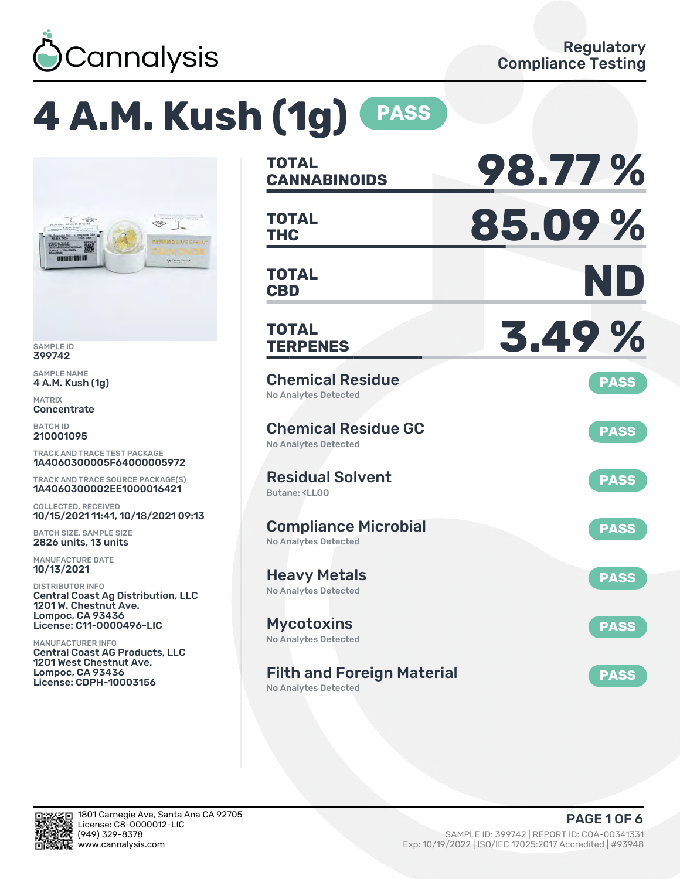

# **4 A.M. Kush (1g) PASS**



SAMPLE ID 399742

SAMPLE NAME 4 A.M. Kush (1g)

MATRIX **Concentrate** 

BATCH ID 210001095

TRACK AND TRACE TEST PACKAGE 1A4060300005F64000005972

TRACK AND TRACE SOURCE PACKAGE(S) 1A4060300002EE1000016421

COLLECTED, RECEIVED 10/15/2021 11:41, 10/18/2021 09:13

BATCH SIZE, SAMPLE SIZE 2826 units, 13 units

MANUFACTURE DATE 10/13/2021

DISTRIBUTOR INFO Central Coast Ag Distribution, LLC 1201 W. Chestnut Ave. Lompoc, CA 93436 License: C11-0000496-LIC

MANUFACTURER INFO Central Coast AG Products, LLC 1201 West Chestnut Ave. Lompoc, CA 93436 License: CDPH-10003156

| <b>TOTAL</b><br><b>CANNABINOIDS</b>                                          | 98.77%      |
|------------------------------------------------------------------------------|-------------|
| <b>TOTAL</b><br><b>THC</b>                                                   | 85.09%      |
| <b>TOTAL</b><br><b>CBD</b>                                                   | ND          |
| <b>TOTAL</b><br><b>TERPENES</b>                                              | 3.49%       |
| <b>Chemical Residue</b><br>No Analytes Detected                              | <b>PASS</b> |
| <b>Chemical Residue GC</b><br><b>No Analytes Detected</b>                    | <b>PASS</b> |
| <b>Residual Solvent</b><br>Butane: <ll00< td=""><td><b>PASS</b></td></ll00<> | <b>PASS</b> |
| <b>Compliance Microbial</b><br><b>No Analytes Detected</b>                   | <b>PASS</b> |
| <b>Heavy Metals</b><br><b>No Analytes Detected</b>                           | <b>PASS</b> |
| <b>Mycotoxins</b><br>No Analytes Detected                                    | <b>PASS</b> |
| <b>Filth and Foreign Material</b>                                            | <b>PASS</b> |

No Analytes Detected

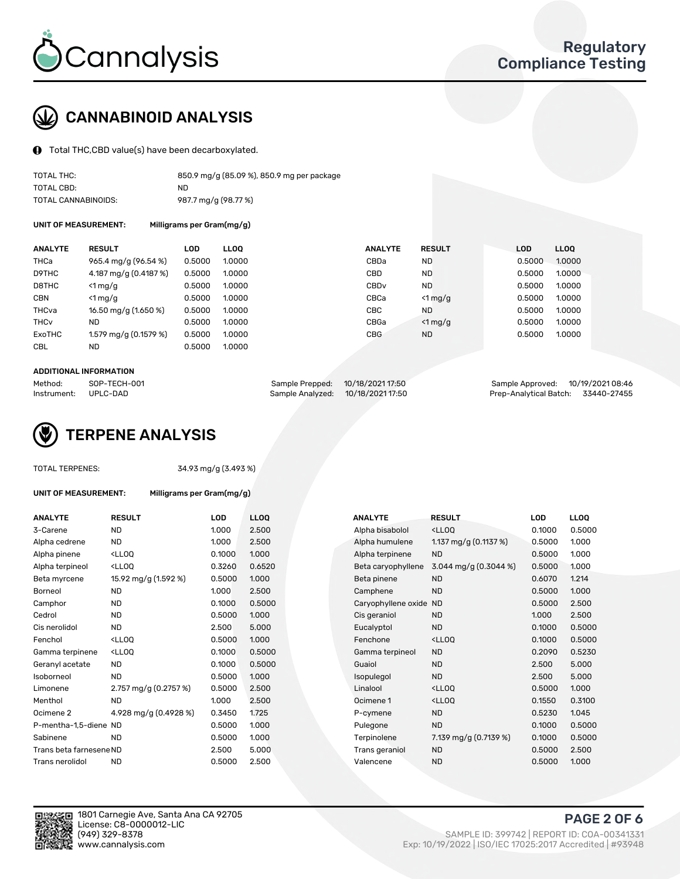

## CANNABINOID ANALYSIS

Total THC,CBD value(s) have been decarboxylated.

| TOTAL THC:          | 850.9 mg/g (85.09 %), 850.9 mg per package |
|---------------------|--------------------------------------------|
| TOTAL CBD:          | ND                                         |
| TOTAL CANNABINOIDS: | 987.7 mg/g (98.77 %)                       |

UNIT OF MEASUREMENT: Milligrams per Gram(mg/g)

| <b>ANALYTE</b>         | <b>RESULT</b>           | <b>LOD</b> | <b>LLOO</b> | <b>ANALYTE</b>   | <b>RESULT</b>    | <b>LOD</b> | <b>LLOO</b> |
|------------------------|-------------------------|------------|-------------|------------------|------------------|------------|-------------|
| <b>THCa</b>            | 965.4 mg/g (96.54 %)    | 0.5000     | 1.0000      | CBDa             | ND.              | 0.5000     | 1.0000      |
| D9THC                  | 4.187 mg/g (0.4187 %)   | 0.5000     | 1.0000      | CBD              | <b>ND</b>        | 0.5000     | 1.0000      |
| D8THC                  | $<$ 1 mg/g              | 0.5000     | 1.0000      | CBD <sub>v</sub> | ND.              | 0.5000     | 1.0000      |
| <b>CBN</b>             | $<$ 1 mg/g              | 0.5000     | 1.0000      | CBCa             | $<$ 1 mg/g       | 0.5000     | 1.0000      |
| THCva                  | 16.50 mg/g (1.650 %)    | 0.5000     | 1.0000      | CBC.             | <b>ND</b>        | 0.5000     | 1.0000      |
| <b>THC<sub>v</sub></b> | <b>ND</b>               | 0.5000     | 1.0000      | CBGa             | $\langle$ 1 mg/g | 0.5000     | 1.0000      |
| ExoTHC                 | 1.579 mg/g $(0.1579\%)$ | 0.5000     | 1.0000      | <b>CBG</b>       | <b>ND</b>        | 0.5000     | 1.0000      |
| <b>CBL</b>             | <b>ND</b>               | 0.5000     | 1.0000      |                  |                  |            |             |

#### ADDITIONAL INFORMATION

| Method:     | SOP-TECH-001 | Sample Prepped: 10/18/2021 17:50  | Sample Approved: 10/19/2021 08:46  |  |
|-------------|--------------|-----------------------------------|------------------------------------|--|
| Instrument: | UPLC-DAD     | Sample Analyzed: 10/18/2021 17:50 | Prep-Analytical Batch: 33440-27455 |  |



TOTAL TERPENES: 34.93 mg/g (3.493 %)

| UNIT OF MEASUREMENT: | Milligrams per Gram(mg/g) |
|----------------------|---------------------------|
|----------------------|---------------------------|

| 2.500<br>0.1000<br><b>ND</b><br>1.000<br>Alpha bisabolol<br><lloq<br>3-Carene<br/>2.500<br/>1.000<br/>1.137 mg/g <math>(0.1137%)</math><br/>0.5000<br/>Alpha cedrene<br/>ND.<br/>Alpha humulene<br/><lloq<br>1.000<br/><b>ND</b><br/>0.5000<br/>0.1000<br/>Alpha terpinene<br/>Alpha pinene<br/>3.044 mg/g (0.3044 %)<br/><lloq<br>0.3260<br/>0.6520<br/>0.5000<br/>Alpha terpineol<br/>Beta caryophyllene<br/>15.92 mg/g (1.592 %)<br/>0.5000<br/>1.000<br/><b>ND</b><br/>0.6070<br/>Beta myrcene<br/>Beta pinene<br/>1.000<br/>2.500<br/><b>ND</b><br/>0.5000<br/>Borneol<br/><b>ND</b><br/>Camphene<br/>0.5000<br/><b>ND</b><br/>0.1000<br/>0.5000<br/>Camphor<br/>Caryophyllene oxide<br/><b>ND</b><br/><b>ND</b><br/>0.5000<br/>1.000<br/><b>ND</b><br/>1.000<br/>Cedrol<br/>Cis geraniol<br/>5.000<br/><b>ND</b><br/>2.500<br/><b>ND</b><br/>0.1000<br/>Cis nerolidol<br/>Eucalyptol<br/><lloq<br>1.000<br/>0.1000<br/>Fenchol<br/>0.5000<br/>Fenchone<br/><ll0q<br>0.5000<br/><lloq<br>0.1000<br/><b>ND</b><br/>0.2090<br/>Gamma terpinene<br/>Gamma terpineol<br/><b>ND</b><br/>0.1000<br/>0.5000<br/><b>ND</b><br/>2.500<br/>Geranyl acetate<br/>Guaiol<br/><b>ND</b><br/>0.5000<br/>1.000<br/><b>ND</b><br/>2.500<br/>Isoborneol<br/>Isopulegol<br/>2.757 mg/g (0.2757 %)<br/>0.5000<br/>2.500<br/>Linalool<br/><ll0q<br>0.5000<br/>Limonene<br/>1.000<br/>2.500<br/>0.1550<br/>Menthol<br/>ND.<br/>Ocimene 1<br/><lloq<br>4.928 mg/g (0.4928 %)<br/>1.725<br/>0.5230<br/>Ocimene 2<br/>0.3450<br/><b>ND</b><br/>P-cymene<br/>0.5000<br/>1.000<br/><b>ND</b><br/>0.1000<br/>P-mentha-1,5-diene ND<br/>Pulegone<br/>Sabinene<br/><b>ND</b><br/>0.5000<br/>1.000<br/>Terpinolene<br/>7.139 mg/g (0.7139 %)<br/>0.1000<br/>5.000<br/>2.500<br/>0.5000<br/>Trans beta farnesene ND<br/>Trans geraniol<br/><b>ND</b><br/>2.500<br/><b>ND</b><br/>Trans nerolidol<br/><b>ND</b><br/>0.5000<br/>Valencene<br/>0.5000</lloq<br></ll0q<br></lloq<br></ll0q<br></lloq<br></lloq<br></lloq<br></lloq<br> | <b>ANALYTE</b> | <b>RESULT</b> | <b>LOD</b> | <b>LLOQ</b> | <b>ANALYTE</b> | <b>RESULT</b> | <b>LOD</b> | <b>LLOQ</b> |
|---------------------------------------------------------------------------------------------------------------------------------------------------------------------------------------------------------------------------------------------------------------------------------------------------------------------------------------------------------------------------------------------------------------------------------------------------------------------------------------------------------------------------------------------------------------------------------------------------------------------------------------------------------------------------------------------------------------------------------------------------------------------------------------------------------------------------------------------------------------------------------------------------------------------------------------------------------------------------------------------------------------------------------------------------------------------------------------------------------------------------------------------------------------------------------------------------------------------------------------------------------------------------------------------------------------------------------------------------------------------------------------------------------------------------------------------------------------------------------------------------------------------------------------------------------------------------------------------------------------------------------------------------------------------------------------------------------------------------------------------------------------------------------------------------------------------------------------------------------------------------------------------------------------------------------------------------------------------------------------------------------|----------------|---------------|------------|-------------|----------------|---------------|------------|-------------|
|                                                                                                                                                                                                                                                                                                                                                                                                                                                                                                                                                                                                                                                                                                                                                                                                                                                                                                                                                                                                                                                                                                                                                                                                                                                                                                                                                                                                                                                                                                                                                                                                                                                                                                                                                                                                                                                                                                                                                                                                         |                |               |            |             |                |               |            | 0.500       |
|                                                                                                                                                                                                                                                                                                                                                                                                                                                                                                                                                                                                                                                                                                                                                                                                                                                                                                                                                                                                                                                                                                                                                                                                                                                                                                                                                                                                                                                                                                                                                                                                                                                                                                                                                                                                                                                                                                                                                                                                         |                |               |            |             |                |               |            | 1.000       |
|                                                                                                                                                                                                                                                                                                                                                                                                                                                                                                                                                                                                                                                                                                                                                                                                                                                                                                                                                                                                                                                                                                                                                                                                                                                                                                                                                                                                                                                                                                                                                                                                                                                                                                                                                                                                                                                                                                                                                                                                         |                |               |            |             |                |               |            | 1.000       |
|                                                                                                                                                                                                                                                                                                                                                                                                                                                                                                                                                                                                                                                                                                                                                                                                                                                                                                                                                                                                                                                                                                                                                                                                                                                                                                                                                                                                                                                                                                                                                                                                                                                                                                                                                                                                                                                                                                                                                                                                         |                |               |            |             |                |               |            | 1.000       |
|                                                                                                                                                                                                                                                                                                                                                                                                                                                                                                                                                                                                                                                                                                                                                                                                                                                                                                                                                                                                                                                                                                                                                                                                                                                                                                                                                                                                                                                                                                                                                                                                                                                                                                                                                                                                                                                                                                                                                                                                         |                |               |            |             |                |               |            | 1.214       |
|                                                                                                                                                                                                                                                                                                                                                                                                                                                                                                                                                                                                                                                                                                                                                                                                                                                                                                                                                                                                                                                                                                                                                                                                                                                                                                                                                                                                                                                                                                                                                                                                                                                                                                                                                                                                                                                                                                                                                                                                         |                |               |            |             |                |               |            | 1.000       |
|                                                                                                                                                                                                                                                                                                                                                                                                                                                                                                                                                                                                                                                                                                                                                                                                                                                                                                                                                                                                                                                                                                                                                                                                                                                                                                                                                                                                                                                                                                                                                                                                                                                                                                                                                                                                                                                                                                                                                                                                         |                |               |            |             |                |               |            | 2.500       |
|                                                                                                                                                                                                                                                                                                                                                                                                                                                                                                                                                                                                                                                                                                                                                                                                                                                                                                                                                                                                                                                                                                                                                                                                                                                                                                                                                                                                                                                                                                                                                                                                                                                                                                                                                                                                                                                                                                                                                                                                         |                |               |            |             |                |               |            | 2.500       |
|                                                                                                                                                                                                                                                                                                                                                                                                                                                                                                                                                                                                                                                                                                                                                                                                                                                                                                                                                                                                                                                                                                                                                                                                                                                                                                                                                                                                                                                                                                                                                                                                                                                                                                                                                                                                                                                                                                                                                                                                         |                |               |            |             |                |               |            | 0.500       |
|                                                                                                                                                                                                                                                                                                                                                                                                                                                                                                                                                                                                                                                                                                                                                                                                                                                                                                                                                                                                                                                                                                                                                                                                                                                                                                                                                                                                                                                                                                                                                                                                                                                                                                                                                                                                                                                                                                                                                                                                         |                |               |            |             |                |               |            | 0.500       |
|                                                                                                                                                                                                                                                                                                                                                                                                                                                                                                                                                                                                                                                                                                                                                                                                                                                                                                                                                                                                                                                                                                                                                                                                                                                                                                                                                                                                                                                                                                                                                                                                                                                                                                                                                                                                                                                                                                                                                                                                         |                |               |            |             |                |               |            | 0.523       |
|                                                                                                                                                                                                                                                                                                                                                                                                                                                                                                                                                                                                                                                                                                                                                                                                                                                                                                                                                                                                                                                                                                                                                                                                                                                                                                                                                                                                                                                                                                                                                                                                                                                                                                                                                                                                                                                                                                                                                                                                         |                |               |            |             |                |               |            | 5.000       |
|                                                                                                                                                                                                                                                                                                                                                                                                                                                                                                                                                                                                                                                                                                                                                                                                                                                                                                                                                                                                                                                                                                                                                                                                                                                                                                                                                                                                                                                                                                                                                                                                                                                                                                                                                                                                                                                                                                                                                                                                         |                |               |            |             |                |               |            | 5.000       |
|                                                                                                                                                                                                                                                                                                                                                                                                                                                                                                                                                                                                                                                                                                                                                                                                                                                                                                                                                                                                                                                                                                                                                                                                                                                                                                                                                                                                                                                                                                                                                                                                                                                                                                                                                                                                                                                                                                                                                                                                         |                |               |            |             |                |               |            | 1.000       |
|                                                                                                                                                                                                                                                                                                                                                                                                                                                                                                                                                                                                                                                                                                                                                                                                                                                                                                                                                                                                                                                                                                                                                                                                                                                                                                                                                                                                                                                                                                                                                                                                                                                                                                                                                                                                                                                                                                                                                                                                         |                |               |            |             |                |               |            | 0.310       |
|                                                                                                                                                                                                                                                                                                                                                                                                                                                                                                                                                                                                                                                                                                                                                                                                                                                                                                                                                                                                                                                                                                                                                                                                                                                                                                                                                                                                                                                                                                                                                                                                                                                                                                                                                                                                                                                                                                                                                                                                         |                |               |            |             |                |               |            | 1.045       |
|                                                                                                                                                                                                                                                                                                                                                                                                                                                                                                                                                                                                                                                                                                                                                                                                                                                                                                                                                                                                                                                                                                                                                                                                                                                                                                                                                                                                                                                                                                                                                                                                                                                                                                                                                                                                                                                                                                                                                                                                         |                |               |            |             |                |               |            | 0.500       |
|                                                                                                                                                                                                                                                                                                                                                                                                                                                                                                                                                                                                                                                                                                                                                                                                                                                                                                                                                                                                                                                                                                                                                                                                                                                                                                                                                                                                                                                                                                                                                                                                                                                                                                                                                                                                                                                                                                                                                                                                         |                |               |            |             |                |               |            | 0.500       |
|                                                                                                                                                                                                                                                                                                                                                                                                                                                                                                                                                                                                                                                                                                                                                                                                                                                                                                                                                                                                                                                                                                                                                                                                                                                                                                                                                                                                                                                                                                                                                                                                                                                                                                                                                                                                                                                                                                                                                                                                         |                |               |            |             |                |               |            | 2.500       |
|                                                                                                                                                                                                                                                                                                                                                                                                                                                                                                                                                                                                                                                                                                                                                                                                                                                                                                                                                                                                                                                                                                                                                                                                                                                                                                                                                                                                                                                                                                                                                                                                                                                                                                                                                                                                                                                                                                                                                                                                         |                |               |            |             |                |               |            | 1.000       |

| ANALYTE                 | <b>RESULT</b>                                                                                                                                          | LOD.   | <b>LLOQ</b> | ANALYTE                | <b>RESULT</b>                                       | <b>LOD</b> | <b>LLOQ</b> |
|-------------------------|--------------------------------------------------------------------------------------------------------------------------------------------------------|--------|-------------|------------------------|-----------------------------------------------------|------------|-------------|
| 3-Carene                | <b>ND</b>                                                                                                                                              | 1.000  | 2.500       | Alpha bisabolol        | <lloq< td=""><td>0.1000</td><td>0.5000</td></lloq<> | 0.1000     | 0.5000      |
| Alpha cedrene           | <b>ND</b>                                                                                                                                              | 1.000  | 2.500       | Alpha humulene         | 1.137 mg/g $(0.1137%)$                              | 0.5000     | 1.000       |
| Alpha pinene            | <lloq< td=""><td>0.1000</td><td>1.000</td><td>Alpha terpinene</td><td><b>ND</b></td><td>0.5000</td><td>1.000</td></lloq<>                              | 0.1000 | 1.000       | Alpha terpinene        | <b>ND</b>                                           | 0.5000     | 1.000       |
| Alpha terpineol         | <lloq< td=""><td>0.3260</td><td>0.6520</td><td>Beta caryophyllene</td><td>3.044 mg/g <math>(0.3044\%)</math></td><td>0.5000</td><td>1.000</td></lloq<> | 0.3260 | 0.6520      | Beta caryophyllene     | 3.044 mg/g $(0.3044\%)$                             | 0.5000     | 1.000       |
| Beta myrcene            | 15.92 mg/g (1.592 %)                                                                                                                                   | 0.5000 | 1.000       | Beta pinene            | <b>ND</b>                                           | 0.6070     | 1.214       |
| Borneol                 | <b>ND</b>                                                                                                                                              | 1.000  | 2.500       | Camphene               | <b>ND</b>                                           | 0.5000     | 1.000       |
| Camphor                 | <b>ND</b>                                                                                                                                              | 0.1000 | 0.5000      | Caryophyllene oxide ND |                                                     | 0.5000     | 2.500       |
| Cedrol                  | <b>ND</b>                                                                                                                                              | 0.5000 | 1.000       | Cis geraniol           | ND.                                                 | 1.000      | 2.500       |
| Cis nerolidol           | <b>ND</b>                                                                                                                                              | 2.500  | 5.000       | Eucalyptol             | <b>ND</b>                                           | 0.1000     | 0.5000      |
| Fenchol                 | <lloq< td=""><td>0.5000</td><td>1.000</td><td>Fenchone</td><td><ll0q< td=""><td>0.1000</td><td>0.5000</td></ll0q<></td></lloq<>                        | 0.5000 | 1.000       | Fenchone               | <ll0q< td=""><td>0.1000</td><td>0.5000</td></ll0q<> | 0.1000     | 0.5000      |
| Gamma terpinene         | <lloq< td=""><td>0.1000</td><td>0.5000</td><td>Gamma terpineol</td><td>ND.</td><td>0.2090</td><td>0.5230</td></lloq<>                                  | 0.1000 | 0.5000      | Gamma terpineol        | ND.                                                 | 0.2090     | 0.5230      |
| Geranyl acetate         | <b>ND</b>                                                                                                                                              | 0.1000 | 0.5000      | Guaiol                 | <b>ND</b>                                           | 2.500      | 5.000       |
| Isoborneol              | <b>ND</b>                                                                                                                                              | 0.5000 | 1.000       | Isopulegol             | <b>ND</b>                                           | 2.500      | 5.000       |
| Limonene                | 2.757 mg/g (0.2757 %)                                                                                                                                  | 0.5000 | 2.500       | Linalool               | <lloq< td=""><td>0.5000</td><td>1.000</td></lloq<>  | 0.5000     | 1.000       |
| Menthol                 | <b>ND</b>                                                                                                                                              | 1.000  | 2.500       | Ocimene 1              | <lloq< td=""><td>0.1550</td><td>0.3100</td></lloq<> | 0.1550     | 0.3100      |
| Ocimene 2               | 4.928 mg/g (0.4928 %)                                                                                                                                  | 0.3450 | 1.725       | P-cymene               | <b>ND</b>                                           | 0.5230     | 1.045       |
| P-mentha-1,5-diene ND   |                                                                                                                                                        | 0.5000 | 1.000       | Pulegone               | <b>ND</b>                                           | 0.1000     | 0.5000      |
| Sabinene                | <b>ND</b>                                                                                                                                              | 0.5000 | 1.000       | Terpinolene            | 7.139 mg/g (0.7139 %)                               | 0.1000     | 0.5000      |
| Trans beta farnesene ND |                                                                                                                                                        | 2.500  | 5.000       | Trans geraniol         | <b>ND</b>                                           | 0.5000     | 2.500       |
| Trans nerolidol         | <b>ND</b>                                                                                                                                              | 0.5000 | 2.500       | Valencene              | <b>ND</b>                                           | 0.5000     | 1.000       |



1801 Carnegie Ave, Santa Ana CA 92705 License: C8-0000012-LIC<br>(949) 329-8378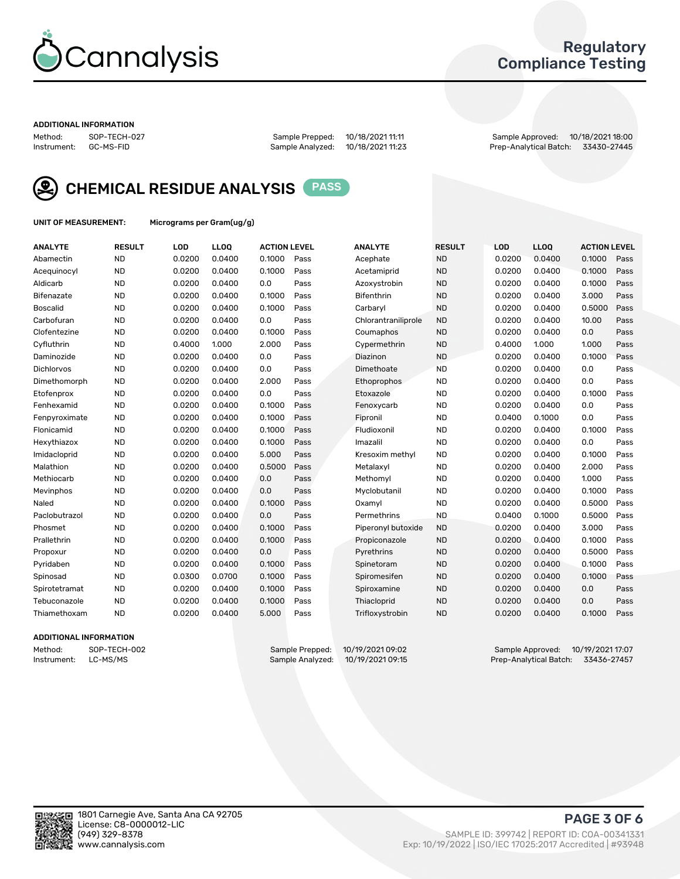

### Regulatory Compliance Testing

#### ADDITIONAL INFORMATION

Method: SOP-TECH-027 Sample Prepped: 10/18/2021 11:11 Sample Approved: 10/18/2021 18:00 Prep-Analytical Batch: 33430-27445



CHEMICAL RESIDUE ANALYSIS PASS

UNIT OF MEASUREMENT: Micrograms per Gram(ug/g)

| <b>ANALYTE</b>  | <b>RESULT</b> | LOD    | LL <sub>OO</sub> | <b>ACTION LEVEL</b> |      | <b>ANALYTE</b>      | <b>RESULT</b> | LOD    | <b>LLOQ</b> | <b>ACTION LEVEL</b> |      |
|-----------------|---------------|--------|------------------|---------------------|------|---------------------|---------------|--------|-------------|---------------------|------|
| Abamectin       | <b>ND</b>     | 0.0200 | 0.0400           | 0.1000              | Pass | Acephate            | <b>ND</b>     | 0.0200 | 0.0400      | 0.1000              | Pass |
| Acequinocyl     | <b>ND</b>     | 0.0200 | 0.0400           | 0.1000              | Pass | Acetamiprid         | <b>ND</b>     | 0.0200 | 0.0400      | 0.1000              | Pass |
| Aldicarb        | <b>ND</b>     | 0.0200 | 0.0400           | 0.0                 | Pass | Azoxystrobin        | <b>ND</b>     | 0.0200 | 0.0400      | 0.1000              | Pass |
| Bifenazate      | <b>ND</b>     | 0.0200 | 0.0400           | 0.1000              | Pass | <b>Bifenthrin</b>   | <b>ND</b>     | 0.0200 | 0.0400      | 3.000               | Pass |
| <b>Boscalid</b> | <b>ND</b>     | 0.0200 | 0.0400           | 0.1000              | Pass | Carbarvl            | <b>ND</b>     | 0.0200 | 0.0400      | 0.5000              | Pass |
| Carbofuran      | <b>ND</b>     | 0.0200 | 0.0400           | 0.0                 | Pass | Chlorantraniliprole | <b>ND</b>     | 0.0200 | 0.0400      | 10.00               | Pass |
| Clofentezine    | <b>ND</b>     | 0.0200 | 0.0400           | 0.1000              | Pass | Coumaphos           | <b>ND</b>     | 0.0200 | 0.0400      | 0.0                 | Pass |
| Cyfluthrin      | <b>ND</b>     | 0.4000 | 1.000            | 2.000               | Pass | Cypermethrin        | <b>ND</b>     | 0.4000 | 1.000       | 1.000               | Pass |
| Daminozide      | <b>ND</b>     | 0.0200 | 0.0400           | 0.0                 | Pass | Diazinon            | <b>ND</b>     | 0.0200 | 0.0400      | 0.1000              | Pass |
| Dichlorvos      | <b>ND</b>     | 0.0200 | 0.0400           | 0.0                 | Pass | Dimethoate          | <b>ND</b>     | 0.0200 | 0.0400      | 0.0                 | Pass |
| Dimethomorph    | <b>ND</b>     | 0.0200 | 0.0400           | 2.000               | Pass | Ethoprophos         | <b>ND</b>     | 0.0200 | 0.0400      | 0.0                 | Pass |
| Etofenprox      | <b>ND</b>     | 0.0200 | 0.0400           | 0.0                 | Pass | Etoxazole           | <b>ND</b>     | 0.0200 | 0.0400      | 0.1000              | Pass |
| Fenhexamid      | <b>ND</b>     | 0.0200 | 0.0400           | 0.1000              | Pass | Fenoxycarb          | <b>ND</b>     | 0.0200 | 0.0400      | 0.0                 | Pass |
| Fenpyroximate   | <b>ND</b>     | 0.0200 | 0.0400           | 0.1000              | Pass | Fipronil            | <b>ND</b>     | 0.0400 | 0.1000      | 0.0                 | Pass |
| Flonicamid      | <b>ND</b>     | 0.0200 | 0.0400           | 0.1000              | Pass | Fludioxonil         | <b>ND</b>     | 0.0200 | 0.0400      | 0.1000              | Pass |
| Hexythiazox     | <b>ND</b>     | 0.0200 | 0.0400           | 0.1000              | Pass | Imazalil            | <b>ND</b>     | 0.0200 | 0.0400      | 0.0                 | Pass |
| Imidacloprid    | <b>ND</b>     | 0.0200 | 0.0400           | 5.000               | Pass | Kresoxim methyl     | <b>ND</b>     | 0.0200 | 0.0400      | 0.1000              | Pass |
| Malathion       | <b>ND</b>     | 0.0200 | 0.0400           | 0.5000              | Pass | Metalaxyl           | <b>ND</b>     | 0.0200 | 0.0400      | 2.000               | Pass |
| Methiocarb      | <b>ND</b>     | 0.0200 | 0.0400           | 0.0                 | Pass | Methomyl            | <b>ND</b>     | 0.0200 | 0.0400      | 1.000               | Pass |
| Mevinphos       | <b>ND</b>     | 0.0200 | 0.0400           | 0.0                 | Pass | Myclobutanil        | <b>ND</b>     | 0.0200 | 0.0400      | 0.1000              | Pass |
| Naled           | <b>ND</b>     | 0.0200 | 0.0400           | 0.1000              | Pass | Oxamyl              | <b>ND</b>     | 0.0200 | 0.0400      | 0.5000              | Pass |
| Paclobutrazol   | <b>ND</b>     | 0.0200 | 0.0400           | 0.0                 | Pass | Permethrins         | <b>ND</b>     | 0.0400 | 0.1000      | 0.5000              | Pass |
| Phosmet         | <b>ND</b>     | 0.0200 | 0.0400           | 0.1000              | Pass | Piperonyl butoxide  | <b>ND</b>     | 0.0200 | 0.0400      | 3.000               | Pass |
| Prallethrin     | <b>ND</b>     | 0.0200 | 0.0400           | 0.1000              | Pass | Propiconazole       | <b>ND</b>     | 0.0200 | 0.0400      | 0.1000              | Pass |
| Propoxur        | <b>ND</b>     | 0.0200 | 0.0400           | 0.0                 | Pass | Pyrethrins          | <b>ND</b>     | 0.0200 | 0.0400      | 0.5000              | Pass |
| Pyridaben       | <b>ND</b>     | 0.0200 | 0.0400           | 0.1000              | Pass | Spinetoram          | <b>ND</b>     | 0.0200 | 0.0400      | 0.1000              | Pass |
| Spinosad        | <b>ND</b>     | 0.0300 | 0.0700           | 0.1000              | Pass | Spiromesifen        | <b>ND</b>     | 0.0200 | 0.0400      | 0.1000              | Pass |
| Spirotetramat   | <b>ND</b>     | 0.0200 | 0.0400           | 0.1000              | Pass | Spiroxamine         | <b>ND</b>     | 0.0200 | 0.0400      | 0.0                 | Pass |
| Tebuconazole    | <b>ND</b>     | 0.0200 | 0.0400           | 0.1000              | Pass | Thiacloprid         | <b>ND</b>     | 0.0200 | 0.0400      | 0.0                 | Pass |
| Thiamethoxam    | <b>ND</b>     | 0.0200 | 0.0400           | 5.000               | Pass | Trifloxystrobin     | <b>ND</b>     | 0.0200 | 0.0400      | 0.1000              | Pass |

### ADDITIONAL INFORMATION

Method: SOP-TECH-002 Sample Prepped: 10/19/2021 09:02 Sample Approved: 10/19/2021 17:07 Prep-Analytical Batch: 33436-27457

PAGE 3 OF 6

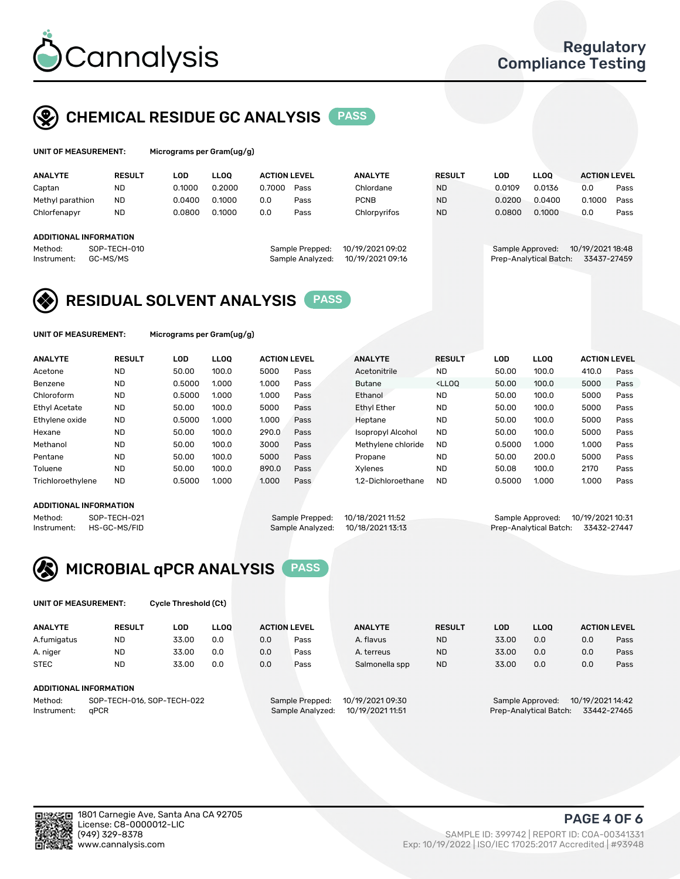

### CHEMICAL RESIDUE GC ANALYSIS PASS

| UNIT OF MEASUREMENT: | Micrograms per Gram(ug/g) |
|----------------------|---------------------------|
|                      |                           |

| <b>ANALYTE</b>                | <b>RESULT</b>            | LOD    | <b>LLOO</b> | <b>ACTION LEVEL</b> |                                     | <b>ANALYTE</b>                       | <b>RESULT</b> | LOD              | <b>LLOO</b>            | <b>ACTION LEVEL</b>             |      |
|-------------------------------|--------------------------|--------|-------------|---------------------|-------------------------------------|--------------------------------------|---------------|------------------|------------------------|---------------------------------|------|
| Captan                        | <b>ND</b>                | 0.1000 | 0.2000      | 0.7000              | Pass                                | Chlordane                            | <b>ND</b>     | 0.0109           | 0.0136                 | 0.0                             | Pass |
| Methyl parathion              | <b>ND</b>                | 0.0400 | 0.1000      | 0.0                 | Pass                                | <b>PCNB</b>                          | <b>ND</b>     | 0.0200           | 0.0400                 | 0.1000                          | Pass |
| Chlorfenapyr                  | <b>ND</b>                | 0.0800 | 0.1000      | 0.0                 | Pass                                | Chlorpyrifos                         | <b>ND</b>     | 0.0800           | 0.1000                 | 0.0                             | Pass |
|                               |                          |        |             |                     |                                     |                                      |               |                  |                        |                                 |      |
| <b>ADDITIONAL INFORMATION</b> |                          |        |             |                     |                                     |                                      |               |                  |                        |                                 |      |
| Method:<br>Instrument:        | SOP-TECH-010<br>GC-MS/MS |        |             |                     | Sample Prepped:<br>Sample Analyzed: | 10/19/2021 09:02<br>10/19/2021 09:16 |               | Sample Approved: | Prep-Analytical Batch: | 10/19/2021 18:48<br>33437-27459 |      |

### RESIDUAL SOLVENT ANALYSIS PASS

UNIT OF MEASUREMENT: Micrograms per Gram(ug/g)

| <b>ANALYTE</b>       | <b>RESULT</b> | <b>LOD</b> | <b>LLOO</b> | <b>ACTION LEVEL</b> |      | <b>ANALYTE</b>     | <b>RESULT</b>                                                               | LOD    | <b>LLOO</b> | <b>ACTION LEVEL</b> |      |
|----------------------|---------------|------------|-------------|---------------------|------|--------------------|-----------------------------------------------------------------------------|--------|-------------|---------------------|------|
| Acetone              | <b>ND</b>     | 50.00      | 100.0       | 5000                | Pass | Acetonitrile       | <b>ND</b>                                                                   | 50.00  | 100.0       | 410.0               | Pass |
| Benzene              | <b>ND</b>     | 0.5000     | 1.000       | 1.000               | Pass | <b>Butane</b>      | <lloo< td=""><td>50.00</td><td>100.0</td><td>5000</td><td>Pass</td></lloo<> | 50.00  | 100.0       | 5000                | Pass |
| Chloroform           | <b>ND</b>     | 0.5000     | 1.000       | 1.000               | Pass | Ethanol            | <b>ND</b>                                                                   | 50.00  | 100.0       | 5000                | Pass |
| <b>Ethyl Acetate</b> | <b>ND</b>     | 50.00      | 100.0       | 5000                | Pass | <b>Ethyl Ether</b> | <b>ND</b>                                                                   | 50.00  | 100.0       | 5000                | Pass |
| Ethylene oxide       | <b>ND</b>     | 0.5000     | 1.000       | 1.000               | Pass | Heptane            | <b>ND</b>                                                                   | 50.00  | 100.0       | 5000                | Pass |
| Hexane               | <b>ND</b>     | 50.00      | 100.0       | 290.0               | Pass | Isopropyl Alcohol  | <b>ND</b>                                                                   | 50.00  | 100.0       | 5000                | Pass |
| Methanol             | <b>ND</b>     | 50.00      | 100.0       | 3000                | Pass | Methylene chloride | <b>ND</b>                                                                   | 0.5000 | 1.000       | 1.000               | Pass |
| Pentane              | <b>ND</b>     | 50.00      | 100.0       | 5000                | Pass | Propane            | <b>ND</b>                                                                   | 50.00  | 200.0       | 5000                | Pass |
| Toluene              | <b>ND</b>     | 50.00      | 100.0       | 890.0               | Pass | Xvlenes            | <b>ND</b>                                                                   | 50.08  | 100.0       | 2170                | Pass |
| Trichloroethylene    | <b>ND</b>     | 0.5000     | 1.000       | 1.000               | Pass | 1.2-Dichloroethane | <b>ND</b>                                                                   | 0.5000 | 1.000       | 1.000               | Pass |

#### ADDITIONAL INFORMATION

| ADDITIONAL INFORMATION |              |                                   |                                    |  |
|------------------------|--------------|-----------------------------------|------------------------------------|--|
| Method:                | SOP-TECH-021 | Sample Prepped: 10/18/2021 11:52  | Sample Approved: 10/19/2021 10:31  |  |
| Instrument:            | HS-GC-MS/FID | Sample Analyzed: 10/18/2021 13:13 | Prep-Analytical Batch: 33432-27447 |  |



UNIT OF MEASUREMENT: Cycle Threshold (Ct)

| <b>ANALYTE</b>                        | <b>RESULT</b>                 | LOD   | <b>LLOO</b> |     | <b>ACTION LEVEL</b> | <b>ANALYTE</b>   | <b>RESULT</b> | LOD   | LL <sub>00</sub> | <b>ACTION LEVEL</b> |      |
|---------------------------------------|-------------------------------|-------|-------------|-----|---------------------|------------------|---------------|-------|------------------|---------------------|------|
| A.fumigatus                           | <b>ND</b>                     | 33.00 | 0.0         | 0.0 | Pass                | A. flavus        | <b>ND</b>     | 33.00 | 0.0              | 0.0                 | Pass |
| A. niger                              | <b>ND</b>                     | 33.00 | 0.0         | 0.0 | Pass                | A. terreus       | <b>ND</b>     | 33.00 | 0.0              | 0.0                 | Pass |
| <b>STEC</b>                           | <b>ND</b>                     | 33.00 | 0.0         | 0.0 | Pass                | Salmonella spp   | <b>ND</b>     | 33.00 | 0.0              | 0.0                 | Pass |
|                                       | <b>ADDITIONAL INFORMATION</b> |       |             |     |                     |                  |               |       |                  |                     |      |
| SOP-TECH-016, SOP-TECH-022<br>Method: |                               |       |             |     | Sample Prepped:     | 10/19/2021 09:30 |               |       | Sample Approved: | 10/19/2021 14:42    |      |

Instrument: qPCR Sample Analyzed: 10/19/2021 11:51 Prep-Analytical Batch: 33442-27465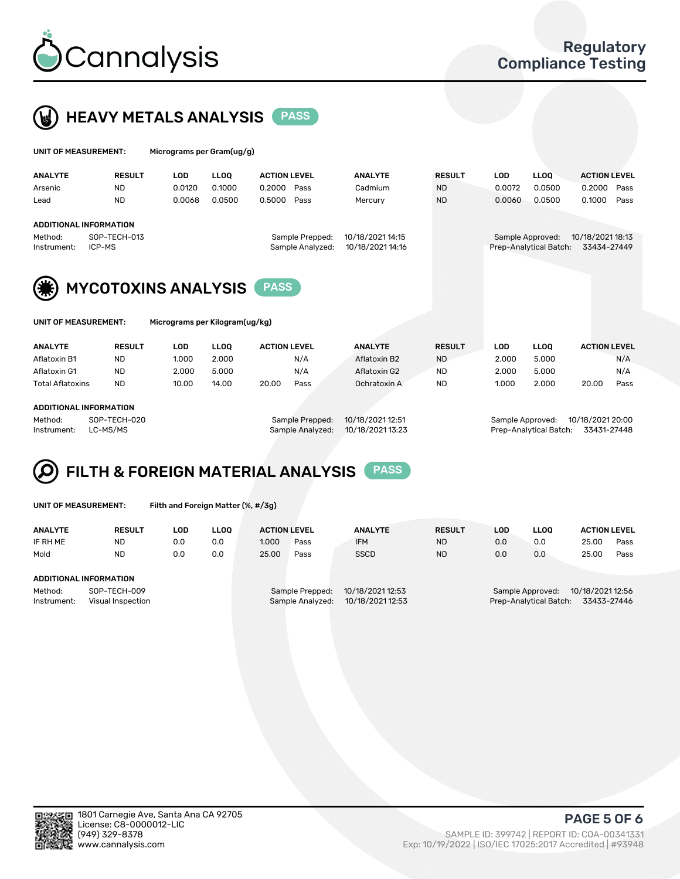



| UNIT OF MEASUREMENT: |                               |            | Micrograms per Gram(ug/g) |                     |                  |                  |               |            |                        |                     |      |  |  |
|----------------------|-------------------------------|------------|---------------------------|---------------------|------------------|------------------|---------------|------------|------------------------|---------------------|------|--|--|
| <b>ANALYTE</b>       | <b>RESULT</b>                 | <b>LOD</b> | <b>LLOO</b>               | <b>ACTION LEVEL</b> |                  | <b>ANALYTE</b>   | <b>RESULT</b> | <b>LOD</b> | <b>LLOO</b>            | <b>ACTION LEVEL</b> |      |  |  |
| Arsenic              | <b>ND</b>                     | 0.0120     | 0.1000                    | 0.2000              | Pass             | Cadmium          | <b>ND</b>     | 0.0072     | 0.0500                 | 0.2000              | Pass |  |  |
| Lead                 | <b>ND</b>                     | 0.0068     | 0.0500                    | 0.5000              | Pass             | Mercury          | <b>ND</b>     | 0.0060     | 0.0500                 | 0.1000              | Pass |  |  |
|                      | <b>ADDITIONAL INFORMATION</b> |            |                           |                     |                  |                  |               |            |                        |                     |      |  |  |
| Method:              | SOP-TECH-013                  |            |                           |                     | Sample Prepped:  | 10/18/2021 14:15 |               |            | Sample Approved:       | 10/18/2021 18:13    |      |  |  |
| Instrument:          | ICP-MS                        |            |                           |                     | Sample Analyzed: | 10/18/2021 14:16 |               |            | Prep-Analytical Batch: | 33434-27449         |      |  |  |
| (纂)                  | <b>MYCOTOXINS ANALYSIS</b>    |            |                           | <b>PASS</b>         |                  |                  |               |            |                        |                     |      |  |  |

UNIT OF MEASUREMENT: Micrograms per Kilogram(ug/kg)

| <b>ANALYTE</b>          | <b>RESULT</b> | LOD   | <b>LLOO</b> | <b>ACTION LEVEL</b> |      | <b>ANALYTE</b> | <b>RESULT</b> | LOD   | <b>LLOO</b> |       | <b>ACTION LEVEL</b> |
|-------------------------|---------------|-------|-------------|---------------------|------|----------------|---------------|-------|-------------|-------|---------------------|
| Aflatoxin B1            | <b>ND</b>     | 1.000 | 2.000       |                     | N/A  | Aflatoxin B2   | <b>ND</b>     | 2.000 | 5.000       |       | N/A                 |
| Aflatoxin G1            | <b>ND</b>     | 2.000 | 5.000       |                     | N/A  | Aflatoxin G2   | <b>ND</b>     | 2.000 | 5.000       |       | N/A                 |
| <b>Total Aflatoxins</b> | <b>ND</b>     | 10.00 | 14.00       | 20.00               | Pass | Ochratoxin A   | <b>ND</b>     | 1.000 | 2.000       | 20.00 | Pass                |
|                         |               |       |             |                     |      |                |               |       |             |       |                     |
| ADDITIONAL INFORMATION  |               |       |             |                     |      |                |               |       |             |       |                     |

Method: SOP-TECH-020 Sample Prepped: 10/18/2021 12:51 Sample Approved: 10/18/2021 20:00 Instrument: LC-MS/MS Sample Analyzed: 10/18/2021 13:23 Prep-Analytical Batch: 33431-27448

# FILTH & FOREIGN MATERIAL ANALYSIS PASS

UNIT OF MEASUREMENT: Filth and Foreign Matter (%, #/3g)

| <b>ANALYTE</b>         | <b>RESULT</b>     | LOD | <b>LLOO</b> | <b>ACTION LEVEL</b>                  |      | <b>ANALYTE</b> | <b>RESULT</b> | LOD                                   | <b>LLOO</b>                          | <b>ACTION LEVEL</b> |      |  |
|------------------------|-------------------|-----|-------------|--------------------------------------|------|----------------|---------------|---------------------------------------|--------------------------------------|---------------------|------|--|
| IF RH ME               | ND                | 0.0 | 0.0         | 1.000                                | Pass | <b>IFM</b>     | <b>ND</b>     | 0.0                                   | 0.0                                  | 25.00               | Pass |  |
| Mold                   | <b>ND</b>         | 0.0 | 0.0         | 25.00                                | Pass | <b>SSCD</b>    | <b>ND</b>     | 0.0                                   | 0.0                                  | 25.00               | Pass |  |
|                        |                   |     |             |                                      |      |                |               |                                       |                                      |                     |      |  |
| ADDITIONAL INFORMATION |                   |     |             |                                      |      |                |               |                                       |                                      |                     |      |  |
| Method:                | SOP-TECH-009      |     |             | 10/18/2021 12:53<br>Sample Prepped:  |      |                |               |                                       | 10/18/2021 12:56<br>Sample Approved: |                     |      |  |
| Instrument:            | Visual Inspection |     |             | 10/18/2021 12:53<br>Sample Analyzed: |      |                |               | Prep-Analytical Batch:<br>33433-27446 |                                      |                     |      |  |



PAGE 5 OF 6